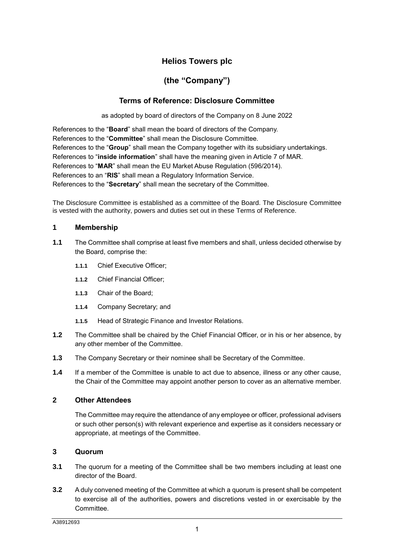# **Helios Towers plc**

# **(the "Company")**

# **Terms of Reference: Disclosure Committee**

as adopted by board of directors of the Company on 8 June 2022

References to the "**Board**" shall mean the board of directors of the Company. References to the "**Committee**" shall mean the Disclosure Committee. References to the "**Group**" shall mean the Company together with its subsidiary undertakings. References to "**inside information**" shall have the meaning given in Article 7 of MAR. References to "**MAR**" shall mean the EU Market Abuse Regulation (596/2014). References to an "**RIS**" shall mean a Regulatory Information Service. References to the "**Secretary**" shall mean the secretary of the Committee.

The Disclosure Committee is established as a committee of the Board. The Disclosure Committee is vested with the authority, powers and duties set out in these Terms of Reference.

#### **1 Membership**

- **1.1** The Committee shall comprise at least five members and shall, unless decided otherwise by the Board, comprise the:
	- **1.1.1** Chief Executive Officer;
	- **1.1.2** Chief Financial Officer;
	- **1.1.3** Chair of the Board;
	- **1.1.4** Company Secretary; and
	- **1.1.5** Head of Strategic Finance and Investor Relations.
- **1.2** The Committee shall be chaired by the Chief Financial Officer, or in his or her absence, by any other member of the Committee.
- **1.3** The Company Secretary or their nominee shall be Secretary of the Committee.
- **1.4** If a member of the Committee is unable to act due to absence, illness or any other cause, the Chair of the Committee may appoint another person to cover as an alternative member.

## **2 Other Attendees**

The Committee may require the attendance of any employee or officer, professional advisers or such other person(s) with relevant experience and expertise as it considers necessary or appropriate, at meetings of the Committee.

## **3 Quorum**

- **3.1** The quorum for a meeting of the Committee shall be two members including at least one director of the Board.
- **3.2** A duly convened meeting of the Committee at which a quorum is present shall be competent to exercise all of the authorities, powers and discretions vested in or exercisable by the Committee.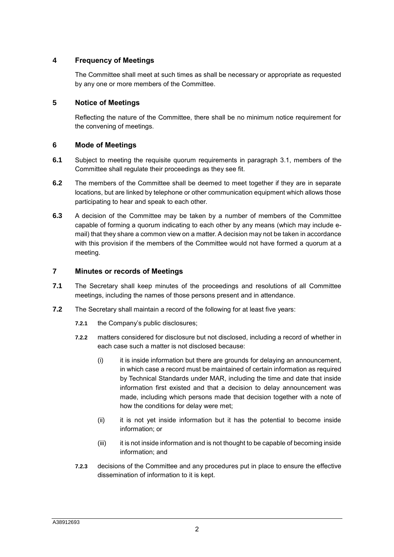## **4 Frequency of Meetings**

The Committee shall meet at such times as shall be necessary or appropriate as requested by any one or more members of the Committee.

## **5 Notice of Meetings**

Reflecting the nature of the Committee, there shall be no minimum notice requirement for the convening of meetings.

#### **6 Mode of Meetings**

- **6.1** Subject to meeting the requisite quorum requirements in paragraph 3.1, members of the Committee shall regulate their proceedings as they see fit.
- **6.2** The members of the Committee shall be deemed to meet together if they are in separate locations, but are linked by telephone or other communication equipment which allows those participating to hear and speak to each other.
- **6.3** A decision of the Committee may be taken by a number of members of the Committee capable of forming a quorum indicating to each other by any means (which may include email) that they share a common view on a matter. A decision may not be taken in accordance with this provision if the members of the Committee would not have formed a quorum at a meeting.

#### **7 Minutes or records of Meetings**

- **7.1** The Secretary shall keep minutes of the proceedings and resolutions of all Committee meetings, including the names of those persons present and in attendance.
- **7.2** The Secretary shall maintain a record of the following for at least five years:
	- **7.2.1** the Company's public disclosures;
	- **7.2.2** matters considered for disclosure but not disclosed, including a record of whether in each case such a matter is not disclosed because:
		- $(i)$  it is inside information but there are grounds for delaying an announcement, in which case a record must be maintained of certain information as required by Technical Standards under MAR, including the time and date that inside information first existed and that a decision to delay announcement was made, including which persons made that decision together with a note of how the conditions for delay were met;
		- (ii) it is not yet inside information but it has the potential to become inside information; or
		- (iii) it is not inside information and is not thought to be capable of becoming inside information; and
	- **7.2.3** decisions of the Committee and any procedures put in place to ensure the effective dissemination of information to it is kept.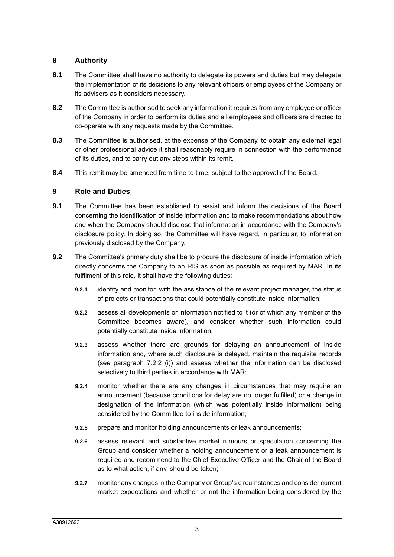## **8 Authority**

- **8.1** The Committee shall have no authority to delegate its powers and duties but may delegate the implementation of its decisions to any relevant officers or employees of the Company or its advisers as it considers necessary.
- **8.2** The Committee is authorised to seek any information it requires from any employee or officer of the Company in order to perform its duties and all employees and officers are directed to co-operate with any requests made by the Committee.
- **8.3** The Committee is authorised, at the expense of the Company, to obtain any external legal or other professional advice it shall reasonably require in connection with the performance of its duties, and to carry out any steps within its remit.
- **8.4** This remit may be amended from time to time, subject to the approval of the Board.

#### **9 Role and Duties**

- **9.1** The Committee has been established to assist and inform the decisions of the Board concerning the identification of inside information and to make recommendations about how and when the Company should disclose that information in accordance with the Company's disclosure policy. In doing so, the Committee will have regard, in particular, to information previously disclosed by the Company.
- **9.2** The Committee's primary duty shall be to procure the disclosure of inside information which directly concerns the Company to an RIS as soon as possible as required by MAR. In its fulfilment of this role, it shall have the following duties:
	- **9.2.1** identify and monitor, with the assistance of the relevant project manager, the status of projects or transactions that could potentially constitute inside information;
	- **9.2.2** assess all developments or information notified to it (or of which any member of the Committee becomes aware), and consider whether such information could potentially constitute inside information;
	- **9.2.3** assess whether there are grounds for delaying an announcement of inside information and, where such disclosure is delayed, maintain the requisite records (see paragraph 7.2.2 (i)) and assess whether the information can be disclosed selectively to third parties in accordance with MAR;
	- **9.2.4** monitor whether there are any changes in circumstances that may require an announcement (because conditions for delay are no longer fulfilled) or a change in designation of the information (which was potentially inside information) being considered by the Committee to inside information;
	- **9.2.5** prepare and monitor holding announcements or leak announcements;
	- **9.2.6** assess relevant and substantive market rumours or speculation concerning the Group and consider whether a holding announcement or a leak announcement is required and recommend to the Chief Executive Officer and the Chair of the Board as to what action, if any, should be taken;
	- **9.2.7** monitor any changes in the Company or Group's circumstances and consider current market expectations and whether or not the information being considered by the